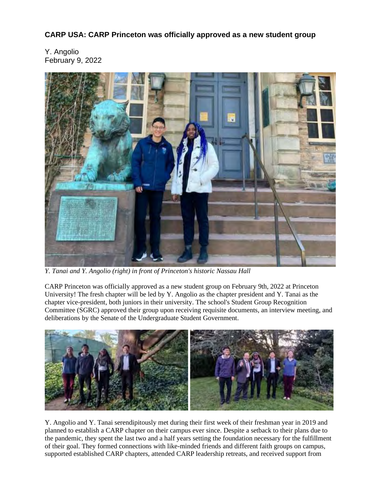**CARP USA: CARP Princeton was officially approved as a new student group**

Y. Angolio February 9, 2022



*Y. Tanai and Y. Angolio (right) in front of Princeton's historic Nassau Hall*

CARP Princeton was officially approved as a new student group on February 9th, 2022 at Princeton University! The fresh chapter will be led by Y. Angolio as the chapter president and Y. Tanai as the chapter vice-president, both juniors in their university. The school's Student Group Recognition Committee (SGRC) approved their group upon receiving requisite documents, an interview meeting, and deliberations by the Senate of the Undergraduate Student Government.



Y. Angolio and Y. Tanai serendipitously met during their first week of their freshman year in 2019 and planned to establish a CARP chapter on their campus ever since. Despite a setback to their plans due to the pandemic, they spent the last two and a half years setting the foundation necessary for the fulfillment of their goal. They formed connections with like-minded friends and different faith groups on campus, supported established CARP chapters, attended CARP leadership retreats, and received support from